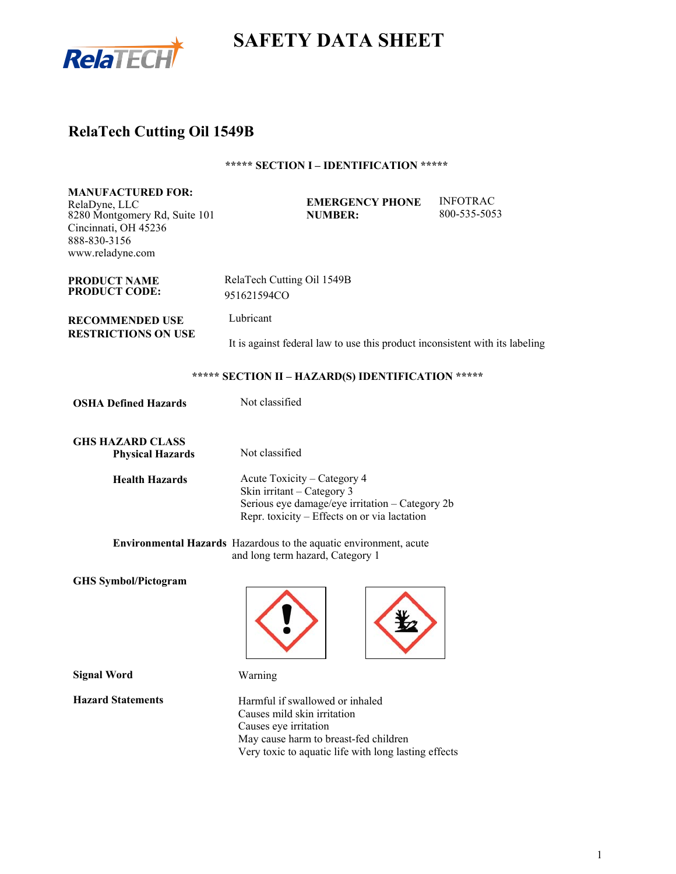

# **SAFETY DATA SHEET**

# **RelaTech Cutting Oil 1549B**

## **\*\*\*\*\* SECTION I – IDENTIFICATION \*\*\*\*\***

| <b>MANUFACTURED FOR:</b><br>RelaDyne, LLC<br>8280 Montgomery Rd, Suite 101<br>Cincinnati, OH 45236<br>888-830-3156<br>www.reladyne.com | <b>EMERGENCY PHONE</b><br><b>NUMBER:</b>                                                                                                                     | <b>INFOTRAC</b><br>800-535-5053 |  |
|----------------------------------------------------------------------------------------------------------------------------------------|--------------------------------------------------------------------------------------------------------------------------------------------------------------|---------------------------------|--|
| <b>PRODUCT NAME</b><br><b>PRODUCT CODE:</b>                                                                                            | RelaTech Cutting Oil 1549B<br>951621594CO                                                                                                                    |                                 |  |
| <b>RECOMMENDED USE</b>                                                                                                                 | Lubricant                                                                                                                                                    |                                 |  |
| <b>RESTRICTIONS ON USE</b>                                                                                                             | It is against federal law to use this product inconsistent with its labeling                                                                                 |                                 |  |
|                                                                                                                                        | ***** SECTION II - HAZARD(S) IDENTIFICATION *****                                                                                                            |                                 |  |
| <b>OSHA Defined Hazards</b>                                                                                                            | Not classified                                                                                                                                               |                                 |  |
| <b>GHS HAZARD CLASS</b><br><b>Physical Hazards</b>                                                                                     | Not classified                                                                                                                                               |                                 |  |
| <b>Health Hazards</b>                                                                                                                  | Acute Toxicity - Category 4<br>Skin irritant – Category 3<br>Serious eye damage/eye irritation - Category 2b<br>Repr. toxicity – Effects on or via lactation |                                 |  |
|                                                                                                                                        | Environmental Hazards Hazardous to the aquatic environment, acute<br>and long term hazard, Category 1                                                        |                                 |  |
| <b>GHS Symbol/Pictogram</b>                                                                                                            |                                                                                                                                                              |                                 |  |
| <b>Signal Word</b>                                                                                                                     | Warning                                                                                                                                                      |                                 |  |
| <b>Hazard Statements</b>                                                                                                               | Harmful if swallowed or inhaled<br>Causes mild skin irritation<br>Causes eve irritation                                                                      |                                 |  |

May cause harm to breast-fed children

Very toxic to aquatic life with long lasting effects

1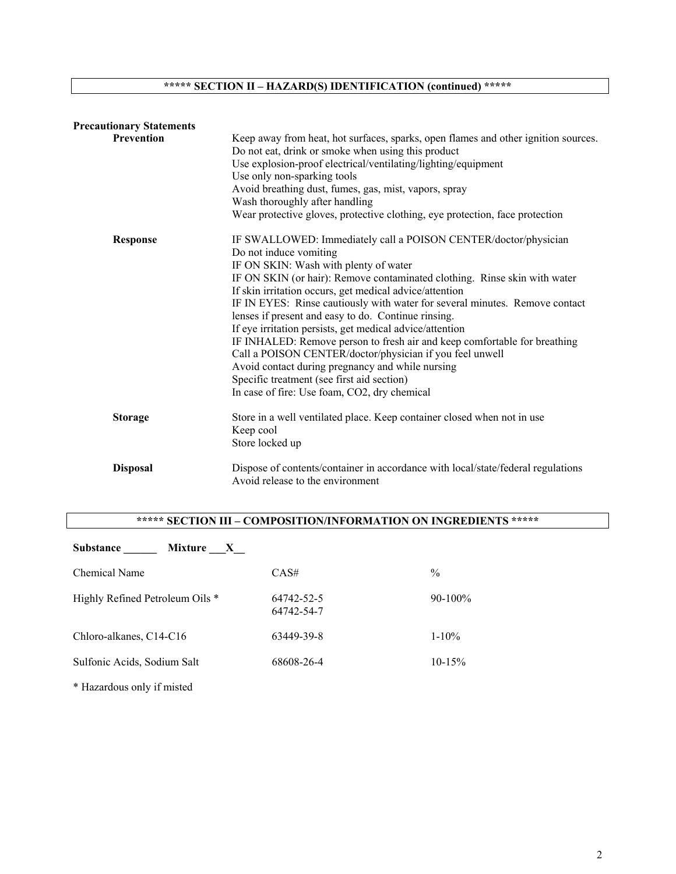## **\*\*\*\*\* SECTION II – HAZARD(S) IDENTIFICATION (continued) \*\*\*\*\***

| <b>Precautionary Statements</b> |                                                                                                                                                                                                                                                                                                                                                                                                                                                                                                                                                                                                                                                                                                                                                                         |
|---------------------------------|-------------------------------------------------------------------------------------------------------------------------------------------------------------------------------------------------------------------------------------------------------------------------------------------------------------------------------------------------------------------------------------------------------------------------------------------------------------------------------------------------------------------------------------------------------------------------------------------------------------------------------------------------------------------------------------------------------------------------------------------------------------------------|
| <b>Prevention</b>               | Keep away from heat, hot surfaces, sparks, open flames and other ignition sources.<br>Do not eat, drink or smoke when using this product<br>Use explosion-proof electrical/ventilating/lighting/equipment<br>Use only non-sparking tools<br>Avoid breathing dust, fumes, gas, mist, vapors, spray<br>Wash thoroughly after handling<br>Wear protective gloves, protective clothing, eye protection, face protection                                                                                                                                                                                                                                                                                                                                                     |
| <b>Response</b>                 | IF SWALLOWED: Immediately call a POISON CENTER/doctor/physician<br>Do not induce vomiting<br>IF ON SKIN: Wash with plenty of water<br>IF ON SKIN (or hair): Remove contaminated clothing. Rinse skin with water<br>If skin irritation occurs, get medical advice/attention<br>IF IN EYES: Rinse cautiously with water for several minutes. Remove contact<br>lenses if present and easy to do. Continue rinsing.<br>If eye irritation persists, get medical advice/attention<br>IF INHALED: Remove person to fresh air and keep comfortable for breathing<br>Call a POISON CENTER/doctor/physician if you feel unwell<br>Avoid contact during pregnancy and while nursing<br>Specific treatment (see first aid section)<br>In case of fire: Use foam, CO2, dry chemical |
| <b>Storage</b>                  | Store in a well ventilated place. Keep container closed when not in use<br>Keep cool<br>Store locked up                                                                                                                                                                                                                                                                                                                                                                                                                                                                                                                                                                                                                                                                 |
| <b>Disposal</b>                 | Dispose of contents/container in accordance with local/state/federal regulations<br>Avoid release to the environment                                                                                                                                                                                                                                                                                                                                                                                                                                                                                                                                                                                                                                                    |

## **\*\*\*\*\* SECTION III – COMPOSITION/INFORMATION ON INGREDIENTS \*\*\*\*\***

| <b>Substance</b><br>Mixture<br>$\mathbf{X}$ |                          |             |
|---------------------------------------------|--------------------------|-------------|
| Chemical Name                               | CAS#                     | $\%$        |
| Highly Refined Petroleum Oils *             | 64742-52-5<br>64742-54-7 | $90-100\%$  |
| Chloro-alkanes, C14-C16                     | 63449-39-8               | $1 - 10\%$  |
| Sulfonic Acids, Sodium Salt                 | 68608-26-4               | $10 - 15\%$ |
|                                             |                          |             |

\* Hazardous only if misted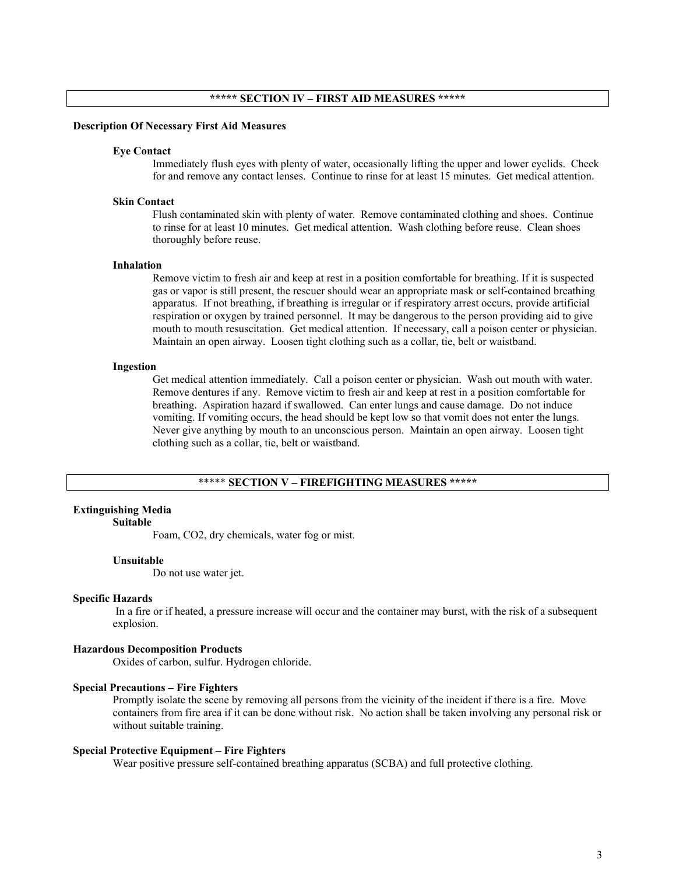#### **Description Of Necessary First Aid Measures**

#### **Eye Contact**

Immediately flush eyes with plenty of water, occasionally lifting the upper and lower eyelids. Check for and remove any contact lenses. Continue to rinse for at least 15 minutes. Get medical attention.

## **Skin Contact**

Flush contaminated skin with plenty of water. Remove contaminated clothing and shoes. Continue to rinse for at least 10 minutes. Get medical attention. Wash clothing before reuse. Clean shoes thoroughly before reuse.

#### **Inhalation**

Remove victim to fresh air and keep at rest in a position comfortable for breathing. If it is suspected gas or vapor is still present, the rescuer should wear an appropriate mask or self-contained breathing apparatus. If not breathing, if breathing is irregular or if respiratory arrest occurs, provide artificial respiration or oxygen by trained personnel. It may be dangerous to the person providing aid to give mouth to mouth resuscitation. Get medical attention. If necessary, call a poison center or physician. Maintain an open airway. Loosen tight clothing such as a collar, tie, belt or waistband.

#### **Ingestion**

Get medical attention immediately. Call a poison center or physician. Wash out mouth with water. Remove dentures if any. Remove victim to fresh air and keep at rest in a position comfortable for breathing. Aspiration hazard if swallowed. Can enter lungs and cause damage. Do not induce vomiting. If vomiting occurs, the head should be kept low so that vomit does not enter the lungs. Never give anything by mouth to an unconscious person. Maintain an open airway. Loosen tight clothing such as a collar, tie, belt or waistband.

## \*\*\*\*\* **SECTION V – FIREFIGHTING MEASURES \*\*\*\*\***

#### **Extinguishing Media**

#### **Suitable**

Foam, CO2, dry chemicals, water fog or mist.

#### **Unsuitable**

Do not use water jet.

#### **Specific Hazards**

 In a fire or if heated, a pressure increase will occur and the container may burst, with the risk of a subsequent explosion.

#### **Hazardous Decomposition Products**

Oxides of carbon, sulfur. Hydrogen chloride.

#### **Special Precautions – Fire Fighters**

Promptly isolate the scene by removing all persons from the vicinity of the incident if there is a fire. Move containers from fire area if it can be done without risk. No action shall be taken involving any personal risk or without suitable training.

#### **Special Protective Equipment – Fire Fighters**

Wear positive pressure self-contained breathing apparatus (SCBA) and full protective clothing.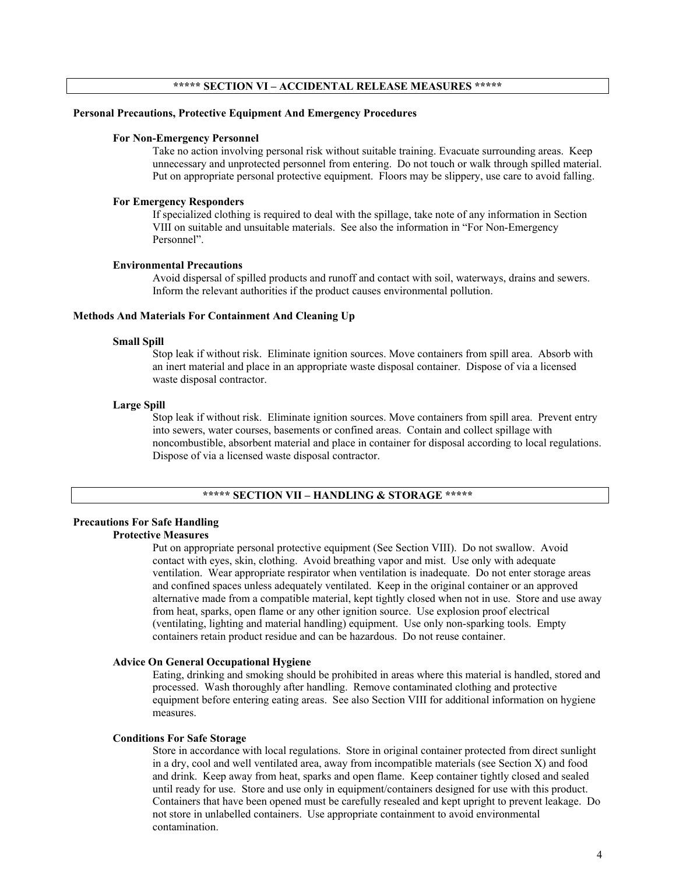## **\*\*\*\*\* SECTION VI – ACCIDENTAL RELEASE MEASURES \*\*\*\*\***

#### **Personal Precautions, Protective Equipment And Emergency Procedures**

## **For Non-Emergency Personnel**

Take no action involving personal risk without suitable training. Evacuate surrounding areas. Keep unnecessary and unprotected personnel from entering. Do not touch or walk through spilled material. Put on appropriate personal protective equipment. Floors may be slippery, use care to avoid falling.

#### **For Emergency Responders**

If specialized clothing is required to deal with the spillage, take note of any information in Section VIII on suitable and unsuitable materials. See also the information in "For Non-Emergency Personnel".

#### **Environmental Precautions**

Avoid dispersal of spilled products and runoff and contact with soil, waterways, drains and sewers. Inform the relevant authorities if the product causes environmental pollution.

## **Methods And Materials For Containment And Cleaning Up**

#### **Small Spill**

Stop leak if without risk. Eliminate ignition sources. Move containers from spill area. Absorb with an inert material and place in an appropriate waste disposal container. Dispose of via a licensed waste disposal contractor.

#### **Large Spill**

Stop leak if without risk. Eliminate ignition sources. Move containers from spill area. Prevent entry into sewers, water courses, basements or confined areas. Contain and collect spillage with noncombustible, absorbent material and place in container for disposal according to local regulations. Dispose of via a licensed waste disposal contractor.

## **\*\*\*\*\* SECTION VII – HANDLING & STORAGE \*\*\*\*\***

## **Precautions For Safe Handling Protective Measures**

Put on appropriate personal protective equipment (See Section VIII). Do not swallow. Avoid contact with eyes, skin, clothing. Avoid breathing vapor and mist. Use only with adequate ventilation. Wear appropriate respirator when ventilation is inadequate. Do not enter storage areas and confined spaces unless adequately ventilated. Keep in the original container or an approved alternative made from a compatible material, kept tightly closed when not in use. Store and use away from heat, sparks, open flame or any other ignition source. Use explosion proof electrical (ventilating, lighting and material handling) equipment. Use only non-sparking tools. Empty containers retain product residue and can be hazardous. Do not reuse container.

## **Advice On General Occupational Hygiene**

Eating, drinking and smoking should be prohibited in areas where this material is handled, stored and processed. Wash thoroughly after handling. Remove contaminated clothing and protective equipment before entering eating areas. See also Section VIII for additional information on hygiene measures.

#### **Conditions For Safe Storage**

Store in accordance with local regulations. Store in original container protected from direct sunlight in a dry, cool and well ventilated area, away from incompatible materials (see Section X) and food and drink. Keep away from heat, sparks and open flame. Keep container tightly closed and sealed until ready for use. Store and use only in equipment/containers designed for use with this product. Containers that have been opened must be carefully resealed and kept upright to prevent leakage. Do not store in unlabelled containers. Use appropriate containment to avoid environmental contamination.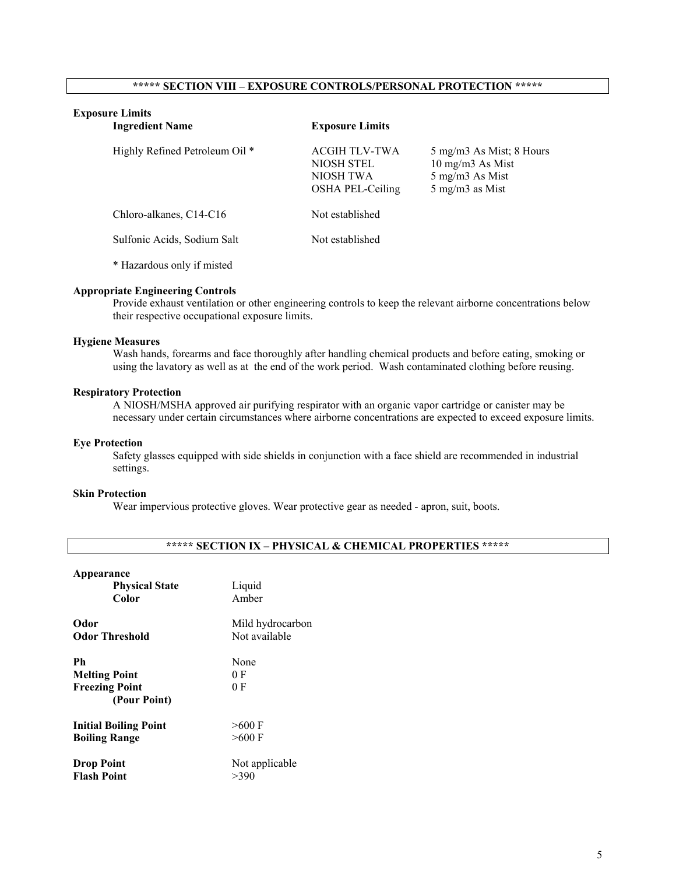## **\*\*\*\*\* SECTION VIII – EXPOSURE CONTROLS/PERSONAL PROTECTION \*\*\*\*\***

## **Exposure Limits**

| <b>Ingredient Name</b>         | <b>Exposure Limits</b>                                       |                                                                                    |
|--------------------------------|--------------------------------------------------------------|------------------------------------------------------------------------------------|
| Highly Refined Petroleum Oil * | ACGIH TLV-TWA<br>NIOSH STEL<br>NIOSH TWA<br>OSHA PEL-Ceiling | 5 mg/m3 As Mist; 8 Hours<br>10 mg/m3 As Mist<br>5 mg/m3 As Mist<br>5 mg/m3 as Mist |
| Chloro-alkanes, C14-C16        | Not established                                              |                                                                                    |
| Sulfonic Acids, Sodium Salt    | Not established                                              |                                                                                    |

\* Hazardous only if misted

## **Appropriate Engineering Controls**

Provide exhaust ventilation or other engineering controls to keep the relevant airborne concentrations below their respective occupational exposure limits.

## **Hygiene Measures**

Wash hands, forearms and face thoroughly after handling chemical products and before eating, smoking or using the lavatory as well as at the end of the work period. Wash contaminated clothing before reusing.

#### **Respiratory Protection**

A NIOSH/MSHA approved air purifying respirator with an organic vapor cartridge or canister may be necessary under certain circumstances where airborne concentrations are expected to exceed exposure limits.

## **Eye Protection**

Safety glasses equipped with side shields in conjunction with a face shield are recommended in industrial settings.

## **Skin Protection**

Wear impervious protective gloves. Wear protective gear as needed - apron, suit, boots.

|  |  |  |  | ***** SECTION IX – PHYSICAL & CHEMICAL PROPERTIES ***** |  |
|--|--|--|--|---------------------------------------------------------|--|
|--|--|--|--|---------------------------------------------------------|--|

## **Appearance**

| <b>Physical State</b>                                                | Liquid             |
|----------------------------------------------------------------------|--------------------|
| Color                                                                | Amber              |
| Odor                                                                 | Mild hydrocarbon   |
| <b>Odor Threshold</b>                                                | Not available      |
| Ph.<br><b>Melting Point</b><br><b>Freezing Point</b><br>(Pour Point) | None<br>0 F<br>0 F |
| <b>Initial Boiling Point</b>                                         | $>600$ F           |
| <b>Boiling Range</b>                                                 | $>600$ F           |
| <b>Drop Point</b>                                                    | Not applicable     |
| <b>Flash Point</b>                                                   | >390               |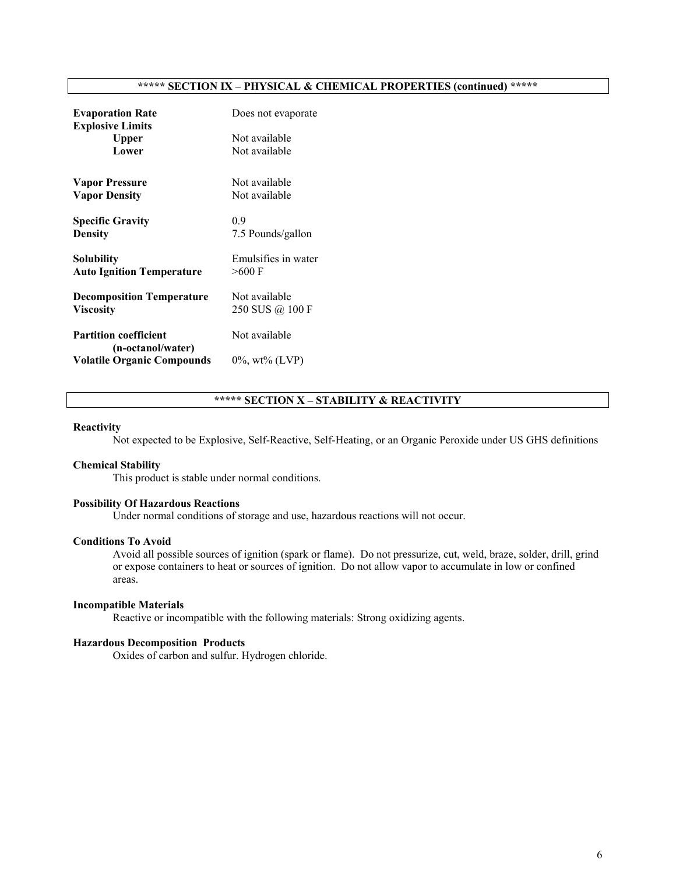## **\*\*\*\*\* SECTION IX – PHYSICAL & CHEMICAL PROPERTIES (continued) \*\*\*\*\***

| <b>Evaporation Rate</b><br><b>Explosive Limits</b> | Does not evaporate  |
|----------------------------------------------------|---------------------|
| Upper                                              | Not available       |
| Lower                                              | Not available       |
| <b>Vapor Pressure</b>                              | Not available       |
| <b>Vapor Density</b>                               | Not available       |
| <b>Specific Gravity</b>                            | 0.9                 |
| <b>Density</b>                                     | 7.5 Pounds/gallon   |
| Solubility                                         | Emulsifies in water |
| <b>Auto Ignition Temperature</b>                   | $>$ 600 F           |
| <b>Decomposition Temperature</b>                   | Not available       |
| <b>Viscosity</b>                                   | 250 SUS @ 100 F     |
| <b>Partition coefficient</b>                       | Not available       |
| (n-octanol/water)                                  |                     |
| <b>Volatile Organic Compounds</b>                  | $0\%$ , wt% (LVP)   |

## **\*\*\*\*\* SECTION X – STABILITY & REACTIVITY**

#### **Reactivity**

Not expected to be Explosive, Self-Reactive, Self-Heating, or an Organic Peroxide under US GHS definitions

#### **Chemical Stability**

This product is stable under normal conditions.

## **Possibility Of Hazardous Reactions**

Under normal conditions of storage and use, hazardous reactions will not occur.

## **Conditions To Avoid**

Avoid all possible sources of ignition (spark or flame). Do not pressurize, cut, weld, braze, solder, drill, grind or expose containers to heat or sources of ignition. Do not allow vapor to accumulate in low or confined areas.

#### **Incompatible Materials**

Reactive or incompatible with the following materials: Strong oxidizing agents.

## **Hazardous Decomposition Products**

Oxides of carbon and sulfur. Hydrogen chloride.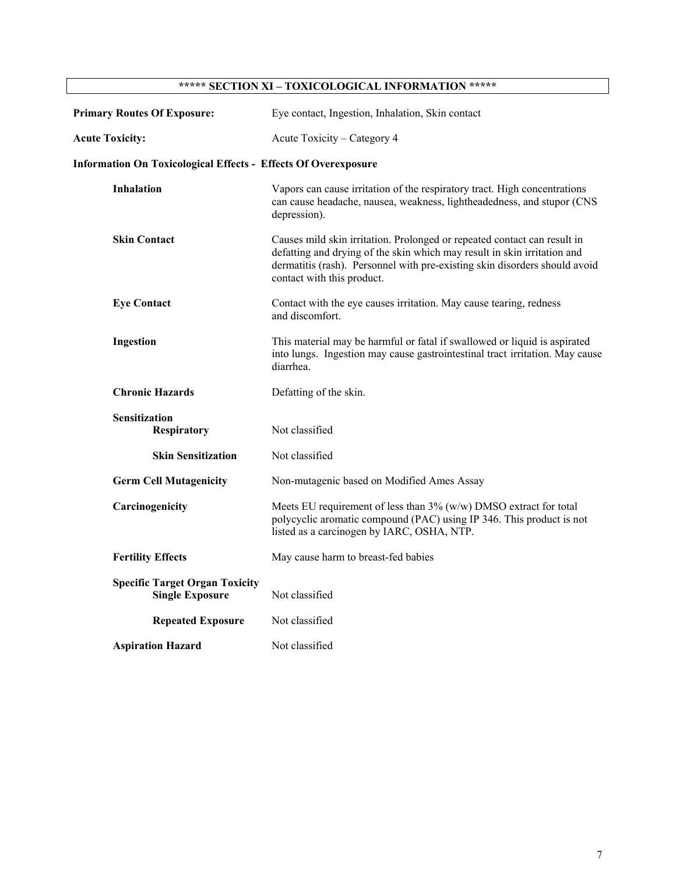# **\*\*\*\*\* SECTION XI – TOXICOLOGICAL INFORMATION \*\*\*\*\***

| <b>Primary Routes Of Exposure:</b>                                    | Eye contact, Ingestion, Inhalation, Skin contact                                                                                                                                                                                                                 |
|-----------------------------------------------------------------------|------------------------------------------------------------------------------------------------------------------------------------------------------------------------------------------------------------------------------------------------------------------|
| <b>Acute Toxicity:</b>                                                | Acute Toxicity – Category 4                                                                                                                                                                                                                                      |
| <b>Information On Toxicological Effects - Effects Of Overexposure</b> |                                                                                                                                                                                                                                                                  |
| <b>Inhalation</b>                                                     | Vapors can cause irritation of the respiratory tract. High concentrations<br>can cause headache, nausea, weakness, lightheadedness, and stupor (CNS<br>depression).                                                                                              |
| <b>Skin Contact</b>                                                   | Causes mild skin irritation. Prolonged or repeated contact can result in<br>defatting and drying of the skin which may result in skin irritation and<br>dermatitis (rash). Personnel with pre-existing skin disorders should avoid<br>contact with this product. |
| <b>Eye Contact</b>                                                    | Contact with the eye causes irritation. May cause tearing, redness<br>and discomfort.                                                                                                                                                                            |
| Ingestion                                                             | This material may be harmful or fatal if swallowed or liquid is aspirated<br>into lungs. Ingestion may cause gastrointestinal tract irritation. May cause<br>diarrhea.                                                                                           |
| <b>Chronic Hazards</b>                                                | Defatting of the skin.                                                                                                                                                                                                                                           |
| Sensitization<br><b>Respiratory</b>                                   | Not classified                                                                                                                                                                                                                                                   |
| <b>Skin Sensitization</b>                                             | Not classified                                                                                                                                                                                                                                                   |
| <b>Germ Cell Mutagenicity</b>                                         | Non-mutagenic based on Modified Ames Assay                                                                                                                                                                                                                       |
| Carcinogenicity                                                       | Meets EU requirement of less than $3\%$ (w/w) DMSO extract for total<br>polycyclic aromatic compound (PAC) using IP 346. This product is not<br>listed as a carcinogen by IARC, OSHA, NTP.                                                                       |
| <b>Fertility Effects</b>                                              | May cause harm to breast-fed babies                                                                                                                                                                                                                              |
| <b>Specific Target Organ Toxicity</b><br><b>Single Exposure</b>       | Not classified                                                                                                                                                                                                                                                   |
| <b>Repeated Exposure</b>                                              | Not classified                                                                                                                                                                                                                                                   |
| <b>Aspiration Hazard</b>                                              | Not classified                                                                                                                                                                                                                                                   |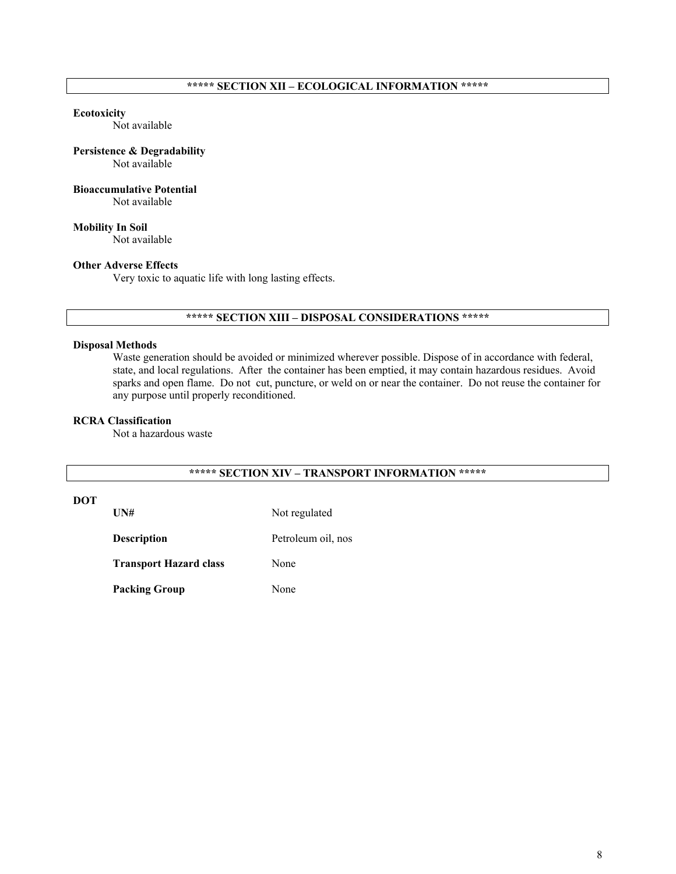## **\*\*\*\*\* SECTION XII – ECOLOGICAL INFORMATION \*\*\*\*\***

#### **Ecotoxicity**

Not available

## **Persistence & Degradability**

Not available

## **Bioaccumulative Potential**

Not available

**Mobility In Soil** Not available

## **Other Adverse Effects**

Very toxic to aquatic life with long lasting effects.

## **\*\*\*\*\* SECTION XIII – DISPOSAL CONSIDERATIONS \*\*\*\*\***

## **Disposal Methods**

Waste generation should be avoided or minimized wherever possible. Dispose of in accordance with federal, state, and local regulations. After the container has been emptied, it may contain hazardous residues. Avoid sparks and open flame. Do not cut, puncture, or weld on or near the container. Do not reuse the container for any purpose until properly reconditioned.

### **RCRA Classification**

Not a hazardous waste

## **\*\*\*\*\* SECTION XIV – TRANSPORT INFORMATION \*\*\*\*\***

## **DOT**

UN# Not regulated

**Description** Petroleum oil, nos

**Transport Hazard class** None

Packing Group None